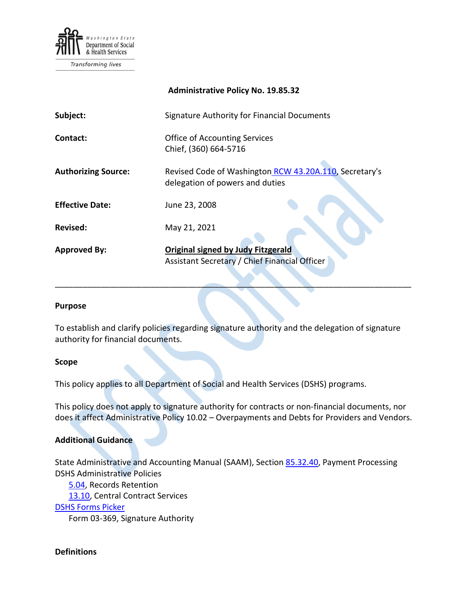

Transforming lives

|                            | <b>Administrative Policy No. 19.85.32</b>                                                  |
|----------------------------|--------------------------------------------------------------------------------------------|
| Subject:                   | Signature Authority for Financial Documents                                                |
| Contact:                   | <b>Office of Accounting Services</b><br>Chief, (360) 664-5716                              |
| <b>Authorizing Source:</b> | Revised Code of Washington RCW 43.20A.110, Secretary's<br>delegation of powers and duties  |
| <b>Effective Date:</b>     | June 23, 2008                                                                              |
| <b>Revised:</b>            | May 21, 2021                                                                               |
| <b>Approved By:</b>        | <b>Original signed by Judy Fitzgerald</b><br>Assistant Secretary / Chief Financial Officer |

#### **Purpose**

To establish and clarify policies regarding signature authority and the delegation of signature authority for financial documents.

\_\_\_\_\_\_\_\_\_\_\_\_\_\_\_\_\_\_\_\_\_\_\_\_\_\_\_\_\_\_\_\_\_\_\_\_\_\_\_\_\_\_\_\_\_\_\_\_\_\_\_\_\_\_\_\_\_\_\_\_\_\_\_\_\_\_\_\_\_\_\_\_\_\_\_\_\_\_

#### **Scope**

This policy applies to all Department of Social and Health Services (DSHS) programs.

This policy does not apply to signature authority for contracts or non-financial documents, nor does it affect Administrative Policy 10.02 – Overpayments and Debts for Providers and Vendors.

#### **Additional Guidance**

State Administrative and Accounting Manual (SAAM), Section [85.32.40,](http://www.ofm.wa.gov/policy/85.32.htm) Payment Processing DSHS Administrative Policies

[5.04,](http://one.dshs.wa.lcl/Policies/Administrative/DSHS-AP-05-04.pdf) Records Retention

[13.10,](http://one.dshs.wa.lcl/Policies/Administrative/DSHS-AP-13-10.pdf) Central Contract Services

#### [DSHS Forms Picker](http://forms.dshs.wa.lcl/)

Form 03-369, Signature Authority

#### **Definitions**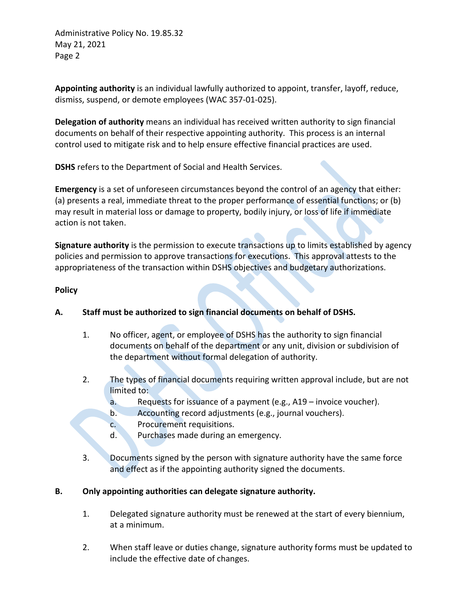Administrative Policy No. 19.85.32 May 21, 2021 Page 2

**Appointing authority** is an individual lawfully authorized to appoint, transfer, layoff, reduce, dismiss, suspend, or demote employees (WAC 357-01-025).

**Delegation of authority** means an individual has received written authority to sign financial documents on behalf of their respective appointing authority. This process is an internal control used to mitigate risk and to help ensure effective financial practices are used.

**DSHS** refers to the Department of Social and Health Services.

**Emergency** is a set of unforeseen circumstances beyond the control of an agency that either: (a) presents a real, immediate threat to the proper performance of essential functions; or (b) may result in material loss or damage to property, bodily injury, or loss of life if immediate action is not taken.

**Signature authority** is the permission to execute transactions up to limits established by agency policies and permission to approve transactions for executions. This approval attests to the appropriateness of the transaction within DSHS objectives and budgetary authorizations.

## **Policy**

# **A. Staff must be authorized to sign financial documents on behalf of DSHS.**

- 1. No officer, agent, or employee of DSHS has the authority to sign financial documents on behalf of the department or any unit, division or subdivision of the department without formal delegation of authority.
- 2. The types of financial documents requiring written approval include, but are not limited to:
	- a. Requests for issuance of a payment (e.g., A19 invoice voucher).
	- b. Accounting record adjustments (e.g., journal vouchers).
	- c. Procurement requisitions.
	- d. Purchases made during an emergency.
- 3. Documents signed by the person with signature authority have the same force and effect as if the appointing authority signed the documents.

# **B. Only appointing authorities can delegate signature authority.**

- 1. Delegated signature authority must be renewed at the start of every biennium, at a minimum.
- 2. When staff leave or duties change, signature authority forms must be updated to include the effective date of changes.